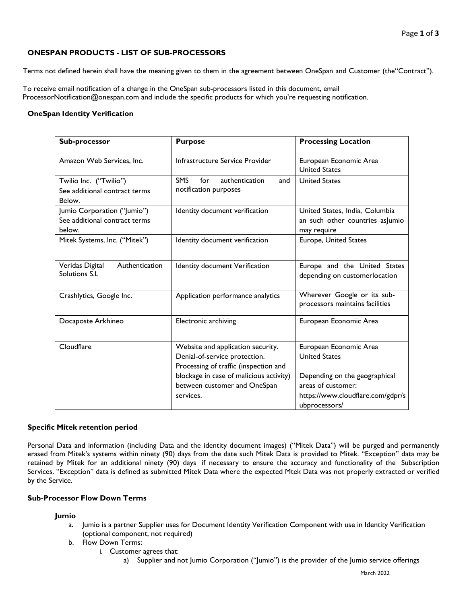# **ONESPAN PRODUCTS - LIST OF SUB-PROCESSORS**

Terms not defined herein shall have the meaning given to them in the agreement between OneSpan and Customer (the"Contract").

To receive email notification of a change in the OneSpan sub-processors listed in this document, email ProcessorNotification@onespan.com and include the specific products for which you're requesting notification.

## **OneSpan Identity Verification**

| Sub-processor                                                          | <b>Purpose</b>                                                                                              | <b>Processing Location</b>                                                                                |
|------------------------------------------------------------------------|-------------------------------------------------------------------------------------------------------------|-----------------------------------------------------------------------------------------------------------|
| Amazon Web Services, Inc.                                              | Infrastructure Service Provider                                                                             | European Economic Area<br><b>United States</b>                                                            |
| Twilio Inc. ("Twilio")<br>See additional contract terms<br>Below.      | <b>SMS</b><br>for<br>authentication<br>and<br>notification purposes                                         | <b>United States</b>                                                                                      |
| Jumio Corporation ("Jumio")<br>See additional contract terms<br>below. | Identity document verification                                                                              | United States, India, Columbia<br>an such other countries as umio<br>may require                          |
| Mitek Systems, Inc. ("Mitek")                                          | Identity document verification                                                                              | Europe, United States                                                                                     |
| Veridas Digital<br>Authentication<br>Solutions S.L                     | Identity document Verification                                                                              | Europe and the United States<br>depending on customerlocation                                             |
| Crashlytics, Google Inc.                                               | Application performance analytics                                                                           | Wherever Google or its sub-<br>processors maintains facilities                                            |
| Docaposte Arkhineo                                                     | Electronic archiving                                                                                        | European Economic Area                                                                                    |
| Cloudflare                                                             | Website and application security.<br>Denial-of-service protection.<br>Processing of traffic (inspection and | European Economic Area<br><b>United States</b>                                                            |
|                                                                        | blockage in case of malicious activity)<br>between customer and OneSpan<br>services.                        | Depending on the geographical<br>areas of customer:<br>https://www.cloudflare.com/gdpr/s<br>ubprocessors/ |

### **Specific Mitek retention period**

Personal Data and information (including Data and the identity document images) ("Mitek Data") will be purged and permanently erased from Mitek's systems within ninety (90) days from the date such Mitek Data is provided to Mitek. "Exception" data may be retained by Mitek for an additional ninety (90) days if necessary to ensure the accuracy and functionality of the Subscription Services. "Exception" data is defined as submitted Mitek Data where the expected Mtek Data was not properly extracted or verified by the Service.

### <span id="page-0-0"></span>**Sub-Processor Flow Down Terms**

### **Jumio**

- a. Jumio is a partner Supplier uses for Document Identity Verification Component with use in Identity Verification (optional component, not required)
- b. Flow Down Terms:
	- i. Customer agrees that:
		- a) Supplier and not Jumio Corporation ("Jumio") is the provider of the Jumio service offerings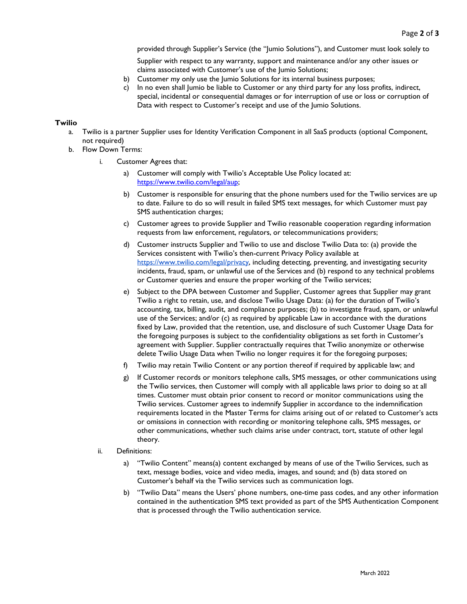provided through Supplier's Service (the "Jumio Solutions"), and Customer must look solely to

Supplier with respect to any warranty, support and maintenance and/or any other issues or claims associated with Customer's use of the Jumio Solutions;

- b) Customer my only use the Jumio Solutions for its internal business purposes;
- c) In no even shall Jumio be liable to Customer or any third party for any loss profits, indirect, special, incidental or consequential damages or for interruption of use or loss or corruption of Data with respect to Customer's receipt and use of the Jumio Solutions.

#### **Twilio**

- a. Twilio is a partner Supplier uses for Identity Verification Component in all SaaS products (optional Component, not required)
- b. Flow Down Terms:
	- i. Customer Agrees that:
		- a) Customer will comply with Twilio's Acceptable Use Policy located at: [https://www.twilio.com/legal/aup;](https://www.twilio.com/legal/aup)
		- b) Customer is responsible for ensuring that the phone numbers used for the Twilio services are up to date. Failure to do so will result in failed SMS text messages, for which Customer must pay SMS authentication charges;
		- c) Customer agrees to provide Supplier and Twilio reasonable cooperation regarding information requests from law enforcement, regulators, or telecommunications providers;
		- d) Customer instructs Supplier and Twilio to use and disclose Twilio Data to: (a) provide the Services consistent with Twilio's then-current Privacy Policy available at [https://www.twilio.com/legal/privacy, in](https://www.twilio.com/legal/privacy)cluding detecting, preventing, and investigating security incidents, fraud, spam, or unlawful use of the Services and (b) respond to any technical problems or Customer queries and ensure the proper working of the Twilio services;
		- e) Subject to the DPA between Customer and Supplier, Customer agrees that Supplier may grant Twilio a right to retain, use, and disclose Twilio Usage Data: (a) for the duration of Twilio's accounting, tax, billing, audit, and compliance purposes; (b) to investigate fraud, spam, or unlawful use of the Services; and/or (c) as required by applicable Law in accordance with the durations fixed by Law, provided that the retention, use, and disclosure of such Customer Usage Data for the foregoing purposes is subject to the confidentiality obligations as set forth in Customer's agreement with Supplier. Supplier contractually requires that Twilio anonymize or otherwise delete Twilio Usage Data when Twilio no longer requires it for the foregoing purposes;
		- f) Twilio may retain Twilio Content or any portion thereof if required by applicable law; and
		- g) If Customer records or monitors telephone calls, SMS messages, or other communications using the Twilio services, then Customer will comply with all applicable laws prior to doing so at all times. Customer must obtain prior consent to record or monitor communications using the Twilio services. Customer agrees to indemnify Supplier in accordance to the indemnification requirements located in the Master Terms for claims arising out of or related to Customer's acts or omissions in connection with recording or monitoring telephone calls, SMS messages, or other communications, whether such claims arise under contract, tort, statute of other legal theory.
	- ii. Definitions:
		- a) "Twilio Content" means(a) content exchanged by means of use of the Twilio Services, such as text, message bodies, voice and video media, images, and sound; and (b) data stored on Customer's behalf via the Twilio services such as communication logs.
		- b) "Twilio Data" means the Users' phone numbers, one-time pass codes, and any other information contained in the authentication SMS text provided as part of the SMS Authentication Component that is processed through the Twilio authentication service.